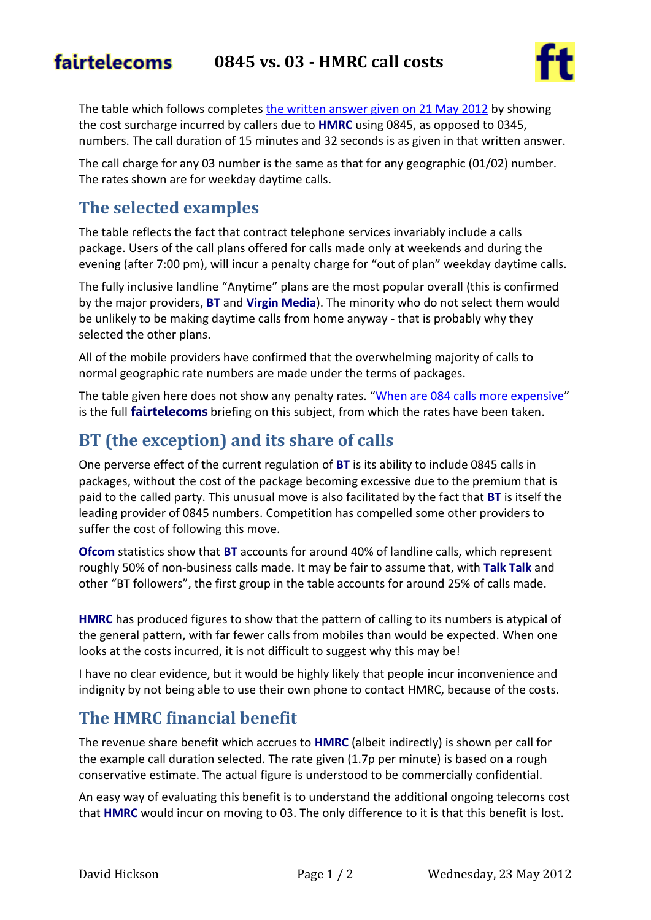#### fairtelecoms **0845 vs. 03 - HMRC call costs**



The table which follows completes [the written answer given on 21 May 2012](http://www.theyworkforyou.com/wrans/?id=2012-05-21a.108353.h#g108353.q0) by showing the cost surcharge incurred by callers due to **HMRC** using 0845, as opposed to 0345, numbers. The call duration of 15 minutes and 32 seconds is as given in that written answer.

The call charge for any 03 number is the same as that for any geographic (01/02) number. The rates shown are for weekday daytime calls.

### **The selected examples**

The table reflects the fact that contract telephone services invariably include a calls package. Users of the call plans offered for calls made only at weekends and during the evening (after 7:00 pm), will incur a penalty charge for "out of plan" weekday daytime calls.

The fully inclusive landline "Anytime" plans are the most popular overall (this is confirmed by the major providers, **BT** and **Virgin Media**). The minority who do not select them would be unlikely to be making daytime calls from home anyway - that is probably why they selected the other plans.

All of the mobile providers have confirmed that the overwhelming majority of calls to normal geographic rate numbers are made under the terms of packages.

The table given here does not show any penalty rates. "[When are 084 calls more expensive](http://www.fairtelecoms.org.uk/when-are-084-calls-more-expensive-than-geographic-rate.html)" is the full **fairtelecoms** briefing on this subject, from which the rates have been taken.

## **BT (the exception) and its share of calls**

One perverse effect of the current regulation of **BT** is its ability to include 0845 calls in packages, without the cost of the package becoming excessive due to the premium that is paid to the called party. This unusual move is also facilitated by the fact that **BT** is itself the leading provider of 0845 numbers. Competition has compelled some other providers to suffer the cost of following this move.

**Ofcom** statistics show that **BT** accounts for around 40% of landline calls, which represent roughly 50% of non-business calls made. It may be fair to assume that, with **Talk Talk** and other "BT followers", the first group in the table accounts for around 25% of calls made.

**HMRC** has produced figures to show that the pattern of calling to its numbers is atypical of the general pattern, with far fewer calls from mobiles than would be expected. When one looks at the costs incurred, it is not difficult to suggest why this may be!

I have no clear evidence, but it would be highly likely that people incur inconvenience and indignity by not being able to use their own phone to contact HMRC, because of the costs.

# **The HMRC financial benefit**

The revenue share benefit which accrues to **HMRC** (albeit indirectly) is shown per call for the example call duration selected. The rate given (1.7p per minute) is based on a rough conservative estimate. The actual figure is understood to be commercially confidential.

An easy way of evaluating this benefit is to understand the additional ongoing telecoms cost that **HMRC** would incur on moving to 03. The only difference to it is that this benefit is lost.